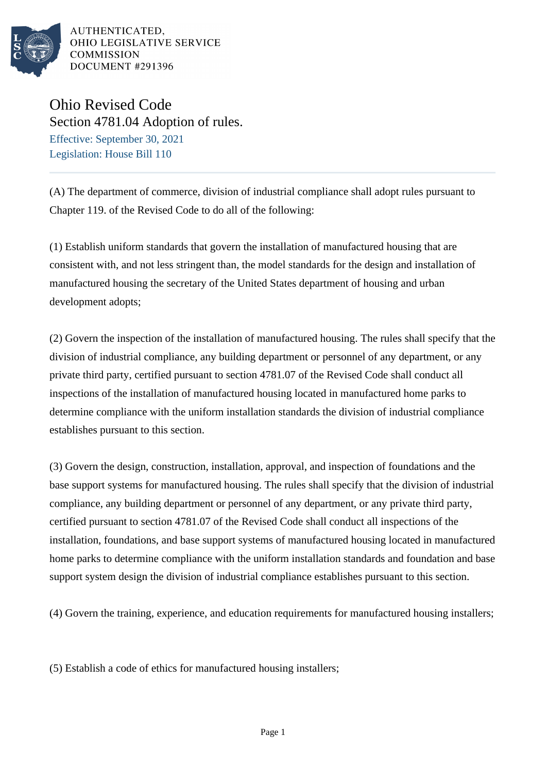

AUTHENTICATED. OHIO LEGISLATIVE SERVICE **COMMISSION** DOCUMENT #291396

## Ohio Revised Code Section 4781.04 Adoption of rules. Effective: September 30, 2021 Legislation: House Bill 110

(A) The department of commerce, division of industrial compliance shall adopt rules pursuant to Chapter 119. of the Revised Code to do all of the following:

(1) Establish uniform standards that govern the installation of manufactured housing that are consistent with, and not less stringent than, the model standards for the design and installation of manufactured housing the secretary of the United States department of housing and urban development adopts;

(2) Govern the inspection of the installation of manufactured housing. The rules shall specify that the division of industrial compliance, any building department or personnel of any department, or any private third party, certified pursuant to section 4781.07 of the Revised Code shall conduct all inspections of the installation of manufactured housing located in manufactured home parks to determine compliance with the uniform installation standards the division of industrial compliance establishes pursuant to this section.

(3) Govern the design, construction, installation, approval, and inspection of foundations and the base support systems for manufactured housing. The rules shall specify that the division of industrial compliance, any building department or personnel of any department, or any private third party, certified pursuant to section 4781.07 of the Revised Code shall conduct all inspections of the installation, foundations, and base support systems of manufactured housing located in manufactured home parks to determine compliance with the uniform installation standards and foundation and base support system design the division of industrial compliance establishes pursuant to this section.

(4) Govern the training, experience, and education requirements for manufactured housing installers;

(5) Establish a code of ethics for manufactured housing installers;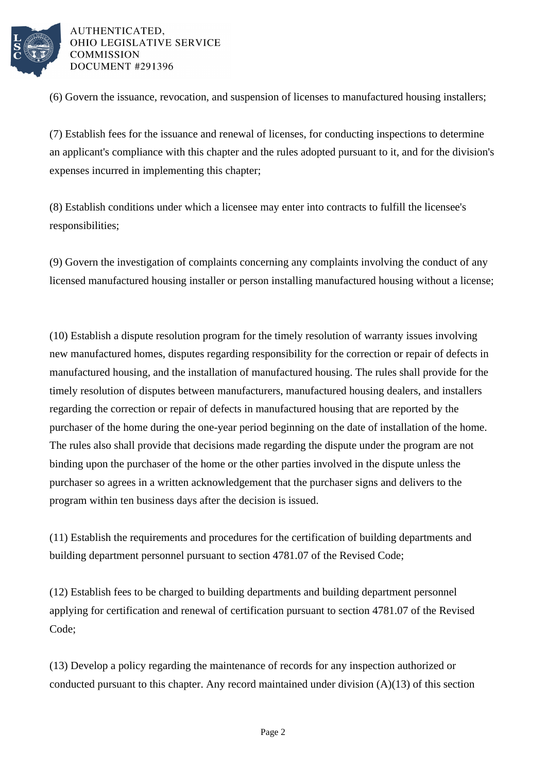

AUTHENTICATED. OHIO LEGISLATIVE SERVICE **COMMISSION** DOCUMENT #291396

(6) Govern the issuance, revocation, and suspension of licenses to manufactured housing installers;

(7) Establish fees for the issuance and renewal of licenses, for conducting inspections to determine an applicant's compliance with this chapter and the rules adopted pursuant to it, and for the division's expenses incurred in implementing this chapter;

(8) Establish conditions under which a licensee may enter into contracts to fulfill the licensee's responsibilities;

(9) Govern the investigation of complaints concerning any complaints involving the conduct of any licensed manufactured housing installer or person installing manufactured housing without a license;

(10) Establish a dispute resolution program for the timely resolution of warranty issues involving new manufactured homes, disputes regarding responsibility for the correction or repair of defects in manufactured housing, and the installation of manufactured housing. The rules shall provide for the timely resolution of disputes between manufacturers, manufactured housing dealers, and installers regarding the correction or repair of defects in manufactured housing that are reported by the purchaser of the home during the one-year period beginning on the date of installation of the home. The rules also shall provide that decisions made regarding the dispute under the program are not binding upon the purchaser of the home or the other parties involved in the dispute unless the purchaser so agrees in a written acknowledgement that the purchaser signs and delivers to the program within ten business days after the decision is issued.

(11) Establish the requirements and procedures for the certification of building departments and building department personnel pursuant to section 4781.07 of the Revised Code;

(12) Establish fees to be charged to building departments and building department personnel applying for certification and renewal of certification pursuant to section 4781.07 of the Revised Code;

(13) Develop a policy regarding the maintenance of records for any inspection authorized or conducted pursuant to this chapter. Any record maintained under division  $(A)(13)$  of this section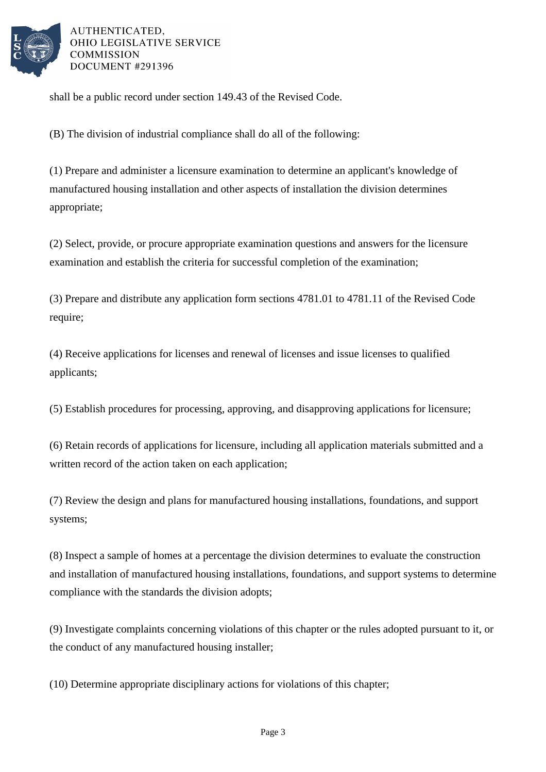

AUTHENTICATED. OHIO LEGISLATIVE SERVICE **COMMISSION** DOCUMENT #291396

shall be a public record under section 149.43 of the Revised Code.

(B) The division of industrial compliance shall do all of the following:

(1) Prepare and administer a licensure examination to determine an applicant's knowledge of manufactured housing installation and other aspects of installation the division determines appropriate;

(2) Select, provide, or procure appropriate examination questions and answers for the licensure examination and establish the criteria for successful completion of the examination;

(3) Prepare and distribute any application form sections 4781.01 to 4781.11 of the Revised Code require;

(4) Receive applications for licenses and renewal of licenses and issue licenses to qualified applicants;

(5) Establish procedures for processing, approving, and disapproving applications for licensure;

(6) Retain records of applications for licensure, including all application materials submitted and a written record of the action taken on each application;

(7) Review the design and plans for manufactured housing installations, foundations, and support systems;

(8) Inspect a sample of homes at a percentage the division determines to evaluate the construction and installation of manufactured housing installations, foundations, and support systems to determine compliance with the standards the division adopts;

(9) Investigate complaints concerning violations of this chapter or the rules adopted pursuant to it, or the conduct of any manufactured housing installer;

(10) Determine appropriate disciplinary actions for violations of this chapter;